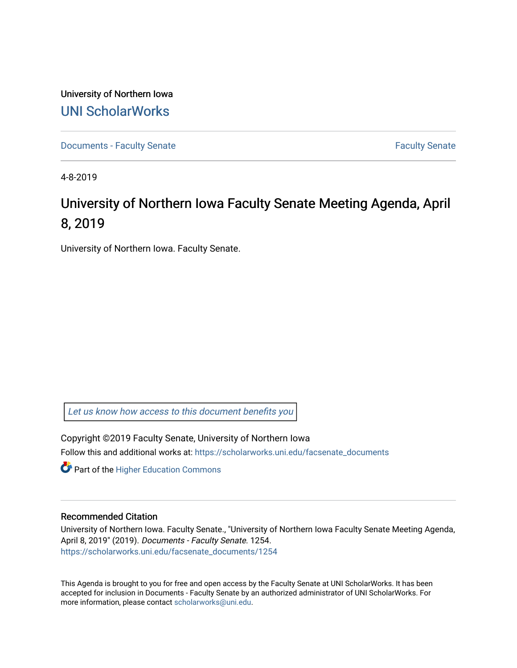University of Northern Iowa [UNI ScholarWorks](https://scholarworks.uni.edu/) 

[Documents - Faculty Senate](https://scholarworks.uni.edu/facsenate_documents) [Faculty Senate](https://scholarworks.uni.edu/facsenate) Faculty Senate

4-8-2019

# University of Northern Iowa Faculty Senate Meeting Agenda, April 8, 2019

University of Northern Iowa. Faculty Senate.

[Let us know how access to this document benefits you](https://scholarworks.uni.edu/feedback_form.html) 

Copyright ©2019 Faculty Senate, University of Northern Iowa Follow this and additional works at: [https://scholarworks.uni.edu/facsenate\\_documents](https://scholarworks.uni.edu/facsenate_documents?utm_source=scholarworks.uni.edu%2Ffacsenate_documents%2F1254&utm_medium=PDF&utm_campaign=PDFCoverPages) 

**Part of the Higher Education Commons** 

#### Recommended Citation

University of Northern Iowa. Faculty Senate., "University of Northern Iowa Faculty Senate Meeting Agenda, April 8, 2019" (2019). Documents - Faculty Senate. 1254. [https://scholarworks.uni.edu/facsenate\\_documents/1254](https://scholarworks.uni.edu/facsenate_documents/1254?utm_source=scholarworks.uni.edu%2Ffacsenate_documents%2F1254&utm_medium=PDF&utm_campaign=PDFCoverPages) 

This Agenda is brought to you for free and open access by the Faculty Senate at UNI ScholarWorks. It has been accepted for inclusion in Documents - Faculty Senate by an authorized administrator of UNI ScholarWorks. For more information, please contact [scholarworks@uni.edu.](mailto:scholarworks@uni.edu)